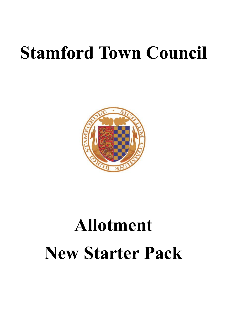# **Stamford Town Council**



# **Allotment New Starter Pack**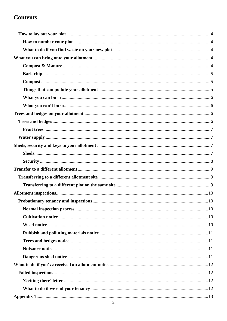# **Contents**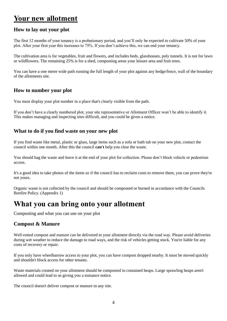# **Your new allotment**

#### <span id="page-3-0"></span>**How to lay out your plot**

The first 12 months of your tenancy is a probationary period, and you'll only be expected to cultivate 50% of your plot. After your first year this increases to 75%. If you don't achieve this, we can end your tenancy.

The cultivation area is for vegetables, fruit and flowers, and includes beds, glasshouses, poly tunnels. It is not for lawn or wildflowers. The remaining 25% is for a shed, composting areas your leisure area and fruit trees.

You can have a one metre wide path running the full length of your plot against any hedge/fence, wall of the boundary of the allotments site.

#### <span id="page-3-1"></span>**How to number your plot**

You must display your plot number in a place that's clearly visible from the path.

If you don't have a clearly numbered plot, your site representative or Allotment Officer won't be able to identify it. This makes managing and inspecting sites difficult, and you could be given a notice.

#### <span id="page-3-2"></span>**What to do if you find waste on your new plot**

If you find waste like metal, plastic or glass, large items such as a sofa or bath tub on your new plot, contact the council within one month. After this the council **can't** help you clear the waste.

You should bag the waste and leave it at the end of your plot for collection. Please don't block vehicle or pedestrian access.

It's a good idea to take photos of the items so if the council has to reclaim costs to remove them, you can prove they're not yours.

Organic waste is not collected by the council and should be composted or burned in accordance with the Councils Bonfire Policy. (Appendix 1)

# <span id="page-3-3"></span>**What you can bring onto your allotment**

Composting and what you can use on your plot

#### <span id="page-3-4"></span>**Compost & Manure**

Well-rotted compost and manure can be delivered to your allotment directly via the road way. Please avoid deliveries during wet weather to reduce the damage to road ways, and the risk of vehicles getting stuck. You're liable for any costs of recovery or repair.

If you only have wheelbarrow access to your plot, you can have compost dropped nearby. It must be moved quickly and shouldn't block access for other tenants.

Waste materials created on your allotment should be composted in contained heaps. Large sprawling heaps aren't allowed and could lead to us giving you a nuisance notice.

The council doesn't deliver compost or manure to any site.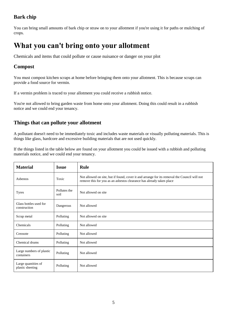## <span id="page-4-0"></span>**Bark chip**

You can bring small amounts of bark chip or straw on to your allotment if you're using it for paths or mulching of crops.

# **What you can't bring onto your allotment**

Chemicals and items that could pollute or cause nuisance or danger on your plot

## <span id="page-4-1"></span>**Compost**

You must compost kitchen scraps at home before bringing them onto your allotment. This is because scraps can provide a food source for vermin.

If a vermin problem is traced to your allotment you could receive a rubbish notice.

You're not allowed to bring garden waste from home onto your allotment. Doing this could result in a rubbish notice and we could end your tenancy.

#### <span id="page-4-2"></span>**Things that can pollute your allotment**

A pollutant doesn't need to be immediately toxic and includes waste materials or visually polluting materials. This is things like glass, hardcore and excessive building materials that are not used quickly.

If the things listed in the table below are found on your allotment you could be issued with a rubbish and polluting materials notice, and we could end your tenancy.

| <b>Material</b>                         | <b>Issue</b>         | Rule                                                                                                                                                                 |
|-----------------------------------------|----------------------|----------------------------------------------------------------------------------------------------------------------------------------------------------------------|
| Asbestos                                | Toxic                | Not allowed on site, but if found, cover it and arrange for its removal the Council will not<br>remove this for you as an asbestos clearance has already taken place |
| <b>Tyres</b>                            | Pollutes the<br>soil | Not allowed on site                                                                                                                                                  |
| Glass bottles used for<br>construction  | Dangerous            | Not allowed                                                                                                                                                          |
| Scrap metal                             | Polluting            | Not allowed on site                                                                                                                                                  |
| Chemicals                               | Polluting            | Not allowed                                                                                                                                                          |
| Creosote                                | Polluting            | Not allowed                                                                                                                                                          |
| Chemical drums                          | Polluting            | Not allowed                                                                                                                                                          |
| Large numbers of plastic<br>containers  | Polluting            | Not allowed                                                                                                                                                          |
| Large quantities of<br>plastic sheeting | Polluting            | Not allowed                                                                                                                                                          |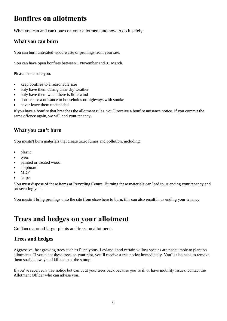# **Bonfires on allotments**

What you can and can't burn on your allotment and how to do it safely

## <span id="page-5-0"></span>**What you can burn**

You can burn untreated wood waste or prunings from your site.

You can have open bonfires between 1 November and 31 March.

Please make sure you:

- keep bonfires to a reasonable size
- only have them during clear dry weather
- only have them when there is little wind
- don't cause a nuisance to households or highways with smoke
- never leave them unattended

If you have a bonfire that breaches the allotment rules, you'll receive a bonfire nuisance notice. If you commit the same offence again, we will end your tenancy.

## <span id="page-5-1"></span>**What you can't burn**

You mustn't burn materials that create toxic fumes and pollution, including:

- plastic
- tyres
- painted or treated wood
- chipboard
- MDF
- carpet

You must dispose of these items at Recycling Centre. Burning these materials can lead to us ending your tenancy and prosecuting you.

You mustn't bring prunings onto the site from elsewhere to burn, this can also result in us ending your tenancy.

# <span id="page-5-2"></span>**Trees and hedges on your allotment**

Guidance around larger plants and trees on allotments

## <span id="page-5-3"></span>**Trees and hedges**

Aggressive, fast growing trees such as Eucalyptus, Leylandii and certain willow species are not suitable to plant on allotments. If you plant these trees on your plot, you'll receive a tree notice immediately. You'll also need to remove them straight away and kill them at the stump.

If you've received a tree notice but can't cut your trees back because you're ill or have mobility issues, contact the Allotment Officer who can advise you.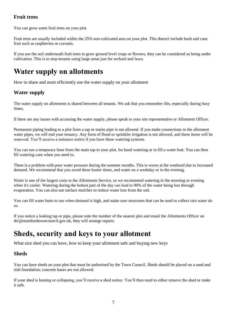## <span id="page-6-0"></span>**Fruit trees**

You can grow some fruit trees on your plot.

Fruit trees are usually included within the 25% non-cultivated area on your plot. This doesn't include bush and cane fruit such as raspberries or currants.

If you use the soil underneath fruit trees to grow ground level crops or flowers, they can be considered as being under cultivation. This is to stop tenants using large areas just for orchard and lawn.

# **Water supply on allotments**

How to share and most efficiently use the water supply on your allotment

#### <span id="page-6-1"></span>**Water supply**

The water supply on allotments is shared between all tenants. We ask that you remember this, especially during busy times.

If there are any issues with accessing the water supply, please speak to your site representative or Allotment Officer.

Permanent piping leading to a plot from a tap or mains pipe is not allowed. If you make connections to the allotment water pipes, we will end your tenancy. Any form of flood or sprinkler irrigation is not allowed, and these items will be removed. You'll receive a nuisance notice if you have these watering systems.

You can run a temporary hose from the main tap to your plot, for hand watering or to fill a water butt. You can then fill watering cans when you need to.

There is a problem with poor water pressure during the summer months. This is worse at the weekend due to increased demand. We recommend that you avoid these busier times, and water on a weekday or in the evening.

Water is one of the largest costs to the Allotments Service, so we recommend watering in the morning or evening when it's cooler. Watering during the hottest part of the day can lead to 90% of the water being lost through evaporation. You can also use surface mulches to reduce water loss from the soil.

You can fill water butts to use when demand is high, and make sure structures that can be used to collect rain water do so.

If you notice a leaking tap or pipe, please note the number of the nearest plot and email the Allotments Officer on dtc@stamfordtowncouncil.gov.uk, they will arrange repairs.

# <span id="page-6-2"></span>**Sheds, security and keys to your allotment**

What size shed you can have, how to keep your allotment safe and buying new keys

#### <span id="page-6-3"></span>**Sheds**

You can have sheds on your plot that must be authorised by the Town Council. Sheds should be placed on a sand and slab foundation; concrete bases are not allowed.

If your shed is leaning or collapsing, you'll receive a shed notice. You'll then need to either remove the shed or make it safe.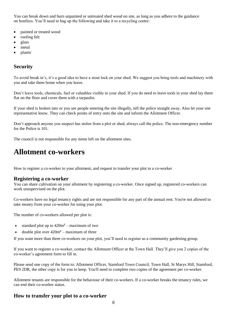You can break down and burn unpainted or untreated shed wood on site, as long as you adhere to the guidance on bonfires. You'll need to bag up the following and take it to a recycling centre:

- painted or treated wood
- roofing felt
- glass
- metal
- <span id="page-7-0"></span>• plastic

## **Security**

To avoid break in's, it's a good idea to have a stout lock on your shed. We suggest you bring tools and machinery with you and take them home when you leave.

Don't leave tools, chemicals, fuel or valuables visible in your shed. If you do need to leave tools in your shed lay them flat on the floor and cover them with a tarpaulin.

If your shed is broken into or you see people entering the site illegally, tell the police straight away. Also let your site representative know. They can check points of entry onto the site and inform the Allotment Officer.

Don't approach anyone you suspect has stolen from a plot or shed, always call the police. The non-emergency number for the Police is 101.

The council is not responsible for any items left on the allotment sites.

# **Allotment co-workers**

How to register a co-worker to your allotment, and request to transfer your plot to a co-worker

#### **Registering a co-worker**

You can share cultivation on your allotment by registering a co-worker. Once signed up, registered co-workers can work unsupervised on the plot.

Co-workers have no legal tenancy rights and are not responsible for any part of the annual rent. You're not allowed to take money from your co-worker for using your plot.

The number of co-workers allowed per plot is:

- standard plot up to  $420m^2$  maximum of two
- double plot over  $420m^2$  maximum of three

If you want more than three co-workers on your plot, you'll need to register as a community gardening group.

If you want to register a co-worker, contact the Allotment Officer at the Town Hall. They'll give you 2 copies of the co-worker's agreement form to fill in.

Please send one copy of the form to: Allotment Officer, Stamford Town Council, Town Hall, St Marys Hill, Stamford, PE9 2DR, the other copy is for you to keep. You'll need to complete two copies of the agreement per co-worker.

Allotment tenants are responsible for the behaviour of their co-workers. If a co-worker breaks the tenancy rules, we can end their co-worker status.

#### **How to transfer your plot to a co-worker**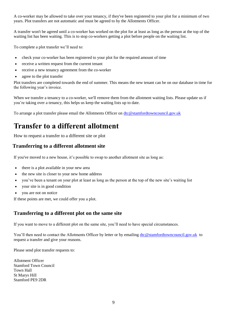A co-worker may be allowed to take over your tenancy, if they've been registered to your plot for a minimum of two years. Plot transfers are not automatic and must be agreed to by the Allotments Officer.

A transfer won't be agreed until a co-worker has worked on the plot for at least as long as the person at the top of the waiting list has been waiting. This is to stop co-workers getting a plot before people on the waiting list.

To complete a plot transfer we'll need to:

- check your co-worker has been registered to your plot for the required amount of time
- receive a written request from the current tenant
- receive a new tenancy agreement from the co-worker
- agree to the plot transfer

Plot transfers are completed towards the end of summer. This means the new tenant can be on our database in time for the following year's invoice.

When we transfer a tenancy to a co-worker, we'll remove them from the allotment waiting lists. Please update us if you're taking over a tenancy, this helps us keep the waiting lists up to date.

To arrange a plot transfer please email the Allotments Officer on [dtc@stamfordtowncouncil.gov.uk](mailto:dtc@stamfordtowncouncil.gov.uk)

# <span id="page-8-0"></span>**Transfer to a different allotment**

How to request a transfer to a different site or plot

#### <span id="page-8-1"></span>**Transferring to a different allotment site**

If you've moved to a new house, it's possible to swap to another allotment site as long as:

- there is a plot available in your new area
- the new site is closer to your new home address
- you've been a tenant on your plot at least as long as the person at the top of the new site's waiting list
- your site is in good condition
- you are not on notice

If these points are met, we could offer you a plot.

## <span id="page-8-2"></span>**Transferring to a different plot on the same site**

If you want to move to a different plot on the same site, you'll need to have special circumstances.

You'll then need to contact the Allotments Officer by letter or by emailing [dtc@stamfordtowncouncil.gov.uk](mailto:dtc@stamfordtowncouncil.gov.uk) to request a transfer and give your reasons.

Please send plot transfer requests to:

Allotment Officer Stamford Town Council Town Hall St Marys Hill Stamford PE9 2DR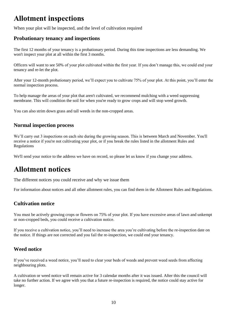# <span id="page-9-0"></span>**Allotment inspections**

When your plot will be inspected, and the level of cultivation required

### <span id="page-9-1"></span>**Probationary tenancy and inspections**

The first 12 months of your tenancy is a probationary period. During this time inspections are less demanding. We won't inspect your plot at all within the first 3 months.

Officers will want to see 50% of your plot cultivated within the first year. If you don't manage this, we could end your tenancy and re-let the plot.

After your 12-month probationary period, we'll expect you to cultivate 75% of your plot. At this point, you'll enter the normal inspection process.

To help manage the areas of your plot that aren't cultivated, we recommend mulching with a weed suppressing membrane. This will condition the soil for when you're ready to grow crops and will stop weed growth.

You can also strim down grass and tall weeds in the non-cropped areas.

#### <span id="page-9-2"></span>**Normal inspection process**

We'll carry out 3 inspections on each site during the growing season. This is between March and November. You'll receive a notice if you're not cultivating your plot, or if you break the rules listed in the allotment Rules and Regulations

We'll send your notice to the address we have on record, so please let us know if you change your address.

# **Allotment notices**

The different notices you could receive and why we issue them

For information about notices and all other allotment rules, you can find them in the Allotment Rules and Regulations.

## <span id="page-9-3"></span>**Cultivation notice**

You must be actively growing crops or flowers on 75% of your plot. If you have excessive areas of lawn and unkempt or non-cropped beds, you could receive a cultivation notice.

If you receive a cultivation notice, you'll need to increase the area you're cultivating before the re-inspection date on the notice. If things are not corrected and you fail the re-inspection, we could end your tenancy.

#### <span id="page-9-4"></span>**Weed notice**

If you've received a weed notice, you'll need to clear your beds of weeds and prevent weed seeds from affecting neighbouring plots.

A cultivation or weed notice will remain active for 3 calendar months after it was issued. After this the council will take no further action. If we agree with you that a future re-inspection is required, the notice could stay active for longer.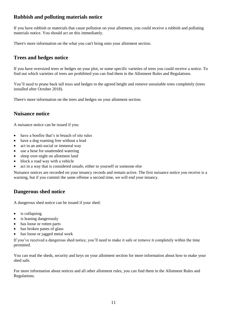## <span id="page-10-0"></span>**Rubbish and polluting materials notice**

If you have rubbish or materials that cause pollution on your allotment, you could receive a rubbish and polluting materials notice. You should act on this immediately.

There's more information on the what you can't bring onto your allotment section.

## <span id="page-10-1"></span>**Trees and hedges notice**

If you have oversized trees or hedges on your plot, or some specific varieties of trees you could receive a notice. To find out which varieties of trees are prohibited you can find them in the Allotment Rules and Regulations.

You'll need to prune back tall trees and hedges to the agreed height and remove unsuitable trees completely (trees installed after October 2018).

There's more information on the trees and hedges on your allotment section.

## <span id="page-10-2"></span>**Nuisance notice**

A nuisance notice can be issued if you:

- have a bonfire that's in breach of site rules
- have a dog roaming free without a lead
- act in an anti-social or immoral way
- use a hose for unattended watering
- sleep over-night on allotment land
- block a road way with a vehicle
- act in a way that is considered unsafe, either to yourself or someone else

Nuisance notices are recorded on your tenancy records and remain active. The first nuisance notice you receive is a warning, but if you commit the same offense a second time, we will end your tenancy.

## <span id="page-10-3"></span>**Dangerous shed notice**

A dangerous shed notice can be issued if your shed:

- is collapsing
- is leaning dangerously
- has loose or rotten parts
- has broken panes of glass
- has loose or jagged metal work

If you've received a dangerous shed notice, you'll need to make it safe or remove it completely within the time permitted.

You can read the sheds, security and keys on your allotment section for more information about how to make your shed safe.

For more information about notices and all other allotment rules, you can find them in the Allotment Rules and Regulations.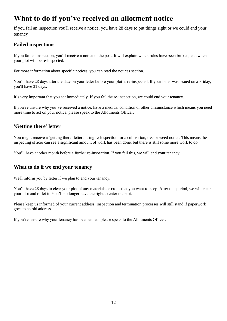# <span id="page-11-0"></span>**What to do if you've received an allotment notice**

If you fail an inspection you'll receive a notice, you have 28 days to put things right or we could end your tenancy

## <span id="page-11-1"></span>**Failed inspections**

If you fail an inspection, you'll receive a notice in the post. It will explain which rules have been broken, and when your plot will be re-inspected.

For more information about specific notices, you can read the notices section.

You'll have 28 days after the date on your letter before your plot is re-inspected. If your letter was issued on a Friday, you'll have 31 days.

It's very important that you act immediately. If you fail the re-inspection, we could end your tenancy.

If you're unsure why you've received a notice, have a medical condition or other circumstance which means you need more time to act on your notice, please speak to the Allotments Officer.

## <span id="page-11-2"></span>**'Getting there' letter**

You might receive a 'getting there' letter during re-inspection for a cultivation, tree or weed notice. This means the inspecting officer can see a significant amount of work has been done, but there is still some more work to do.

You'll have another month before a further re-inspection. If you fail this, we will end your tenancy.

#### <span id="page-11-3"></span>**What to do if we end your tenancy**

We'll inform you by letter if we plan to end your tenancy.

You'll have 28 days to clear your plot of any materials or crops that you want to keep. After this period, we will clear your plot and re-let it. You'll no longer have the right to enter the plot.

Please keep us informed of your current address. Inspection and termination processes will still stand if paperwork goes to an old address.

If you're unsure why your tenancy has been ended, please speak to the Allotments Officer.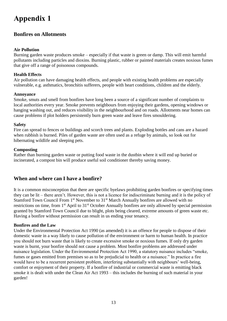# <span id="page-12-0"></span>**Appendix 1**

## <span id="page-12-1"></span>**Bonfires on Allotments**

#### **Air Pollution**

Burning garden waste produces smoke – especially if that waste is green or damp. This will emit harmful pollutants including particles and dioxins. Burning plastic, rubber or painted materials creates noxious fumes that give off a range of poisonous compounds.

#### **Health Effects**

Air pollution can have damaging health effects, and people with existing health problems are especially vulnerable, e.g. asthmatics, bronchitis sufferers, people with heart conditions, children and the elderly.

#### **Annoyance**

Smoke, smuts and smell from bonfires have long been a source of a significant number of complaints to local authorities every year. Smoke prevents neighbours from enjoying their gardens, opening windows or hanging washing out, and reduces visibility in the neighbourhood and on roads. Allotments near homes can cause problems if plot holders persistently burn green waste and leave fires smouldering.

#### **Safety**

Fire can spread to fences or buildings and scorch trees and plants. Exploding bottles and cans are a hazard when rubbish is burned. Piles of garden waste are often used as a refuge by animals, so look out for hibernating wildlife and sleeping pets.

#### **Composting**

Rather than burning garden waste or putting food waste in the dustbin where it will end up buried or incinerated, a compost bin will produce useful soil conditioner thereby saving money.

#### <span id="page-12-2"></span>**When and where can I have a bonfire?**

It is a common misconception that there are specific byelaws prohibiting garden bonfires or specifying times they can be lit – there aren't. However, this is not a licence for indiscriminate burning and it is the policy of Stamford Town Council From 1<sup>st</sup> November to 31<sup>st</sup> March Annually bonfires are allowed with no restrictions on time, from 1st April to 31st October Annually bonfires are only allowed by special permission granted by Stamford Town Council due to blight, plots being cleared, extreme amounts of green waste etc. Having a bonfire without permission can result in us ending your tenancy.

#### **Bonfires and the Law**

Under the Environmental Protection Act 1990 (as amended) it is an offence for people to dispose of their domestic waste in a way likely to cause pollution of the environment or harm to human health. In practice you should not burn waste that is likely to create excessive smoke or noxious fumes. If only dry garden waste is burnt, your bonfire should not cause a problem. Most bonfire problems are addressed under nuisance legislation. Under the Environmental Protection Act 1990, a statutory nuisance includes "smoke, fumes or gases emitted from premises so as to be prejudicial to health or a nuisance." In practice a fire would have to be a recurrent persistent problem, interfering substantially with neighbours' well-being, comfort or enjoyment of their property. If a bonfire of industrial or commercial waste is emitting black smoke it is dealt with under the Clean Air Act 1993 – this includes the burning of such material in your garden!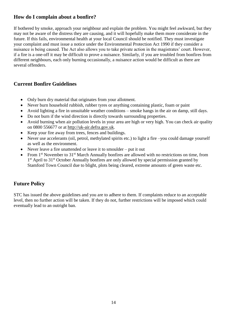## <span id="page-13-0"></span>**How do I complain about a bonfire?**

If bothered by smoke, approach your neighbour and explain the problem. You might feel awkward, but they may not be aware of the distress they are causing, and it will hopefully make them more considerate in the future. If this fails, environmental health at your local Council should be notified. They must investigate your complaint and must issue a notice under the Environmental Protection Act 1990 if they consider a nuisance is being caused. The Act also allows you to take private action in the magistrates' court. However, if a fire is a one-off it may be difficult to prove a nuisance. Similarly, if you are troubled from bonfires from different neighbours, each only burning occasionally, a nuisance action would be difficult as there are several offenders.

#### <span id="page-13-1"></span>**Current Bonfire Guidelines**

- Only burn dry material that originates from your allotment.
- Never burn household rubbish, rubber tyres or anything containing plastic, foam or paint
- Avoid lighting a fire in unsuitable weather conditions smoke hangs in the air on damp, still days.
- Do not burn if the wind direction is directly towards surrounding properties.
- Avoid burning when air pollution levels in your area are high or very high. You can check air quality on 0800 556677 or at [http://uk-air.defra.gov.uk.](http://uk-air.defra.gov.uk/)
- Keep your fire away from trees, fences and buildings.
- Never use accelerants (oil, petrol, methylated spirits etc.) to light a fire –you could damage yourself as well as the environment.
- Never leave a fire unattended or leave it to smoulder put it out
- From 1<sup>st</sup> November to 31<sup>st</sup> March Annually bonfires are allowed with no restrictions on time, from 1<sup>st</sup> April to 31<sup>st</sup> October Annually bonfires are only allowed by special permission granted by Stamford Town Council due to blight, plots being cleared, extreme amounts of green waste etc.

## <span id="page-13-2"></span>**Future Policy**

STC has issued the above guidelines and you are to adhere to them. If complaints reduce to an acceptable level, then no further action will be taken. If they do not, further restrictions will be imposed which could eventually lead to an outright ban.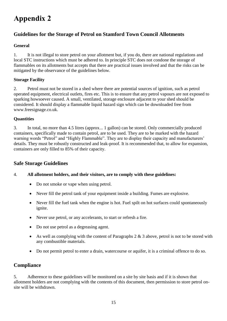# <span id="page-14-0"></span>**Appendix 2**

## <span id="page-14-1"></span>**Guidelines for the Storage of Petrol on Stamford Town Council Allotments**

#### **General**

1. It is not illegal to store petrol on your allotment but, if you do, there are national regulations and local STC instructions which must be adhered to. In principle STC does not condone the storage of flammables on its allotments but accepts that there are practical issues involved and that the risks can be mitigated by the observance of the guidelines below.

#### **Storage Facility**

2. Petrol must not be stored in a shed where there are potential sources of ignition, such as petrol operated equipment, electrical outlets, fires etc. This is to ensure that any petrol vapours are not exposed to sparking howsoever caused. A small, ventilated, storage enclosure adjacent to your shed should be considered. It should display a flammable liquid hazard sign which can be downloaded free from www.freesignage.co.uk.

#### **Quantities**

3. In total, no more than 4.5 litres (approx... 1 gallon) can be stored. Only commercially produced containers, specifically made to contain petrol, are to be used. They are to be marked with the hazard warning words "Petrol" and "Highly Flammable". They are to display their capacity and manufacturers' details. They must be robustly constructed and leak-proof. It is recommended that, to allow for expansion, containers are only filled to 85% of their capacity.

#### <span id="page-14-2"></span>**Safe Storage Guidelines**

#### 4. **All allotment holders, and their visitors, are to comply with these guidelines:**

- Do not smoke or vape when using petrol.
- Never fill the petrol tank of your equipment inside a building. Fumes are explosive.
- Never fill the fuel tank when the engine is hot. Fuel spilt on hot surfaces could spontaneously ignite.
- Never use petrol, or any accelerants, to start or refresh a fire.
- Do not use petrol as a degreasing agent.
- As well as complying with the content of Paragraphs 2  $\&$  3 above, petrol is not to be stored with any combustible materials.
- Do not permit petrol to enter a drain, watercourse or aquifer, it is a criminal offence to do so.

#### <span id="page-14-3"></span>**Compliance**

5. Adherence to these guidelines will be monitored on a site by site basis and if it is shown that allotment holders are not complying with the contents of this document, then permission to store petrol onsite will be withdrawn.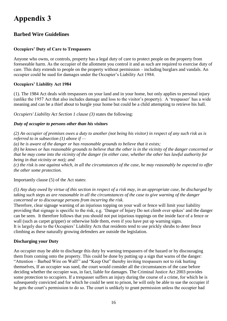# <span id="page-15-0"></span>**Appendix 3**

## <span id="page-15-1"></span>**Barbed Wire Guidelines**

#### **Occupiers' Duty of Care to Trespassers**

Anyone who owns, or controls, property has a legal duty of care to protect people on the property from foreseeable harm. As the occupier of the allotment you control it and as such are required to exercise duty of care. This duty extends to people on the property without permission – including burglars and vandals. An occupier could be sued for damages under the Occupier's Liability Act 1984.

#### **Occupiers' Liability Act 1984**

(1). The 1984 Act deals with trespassers on your land and in your home, but only applies to personal injury (unlike the 1957 Act that also includes damage and loss to the visitor's property). A 'trespasser' has a wide meaning and can be a thief about to burgle your home but could be a child attempting to retrieve his ball.

*Occupiers' Liability Act Section 1 clause (3)* states the following:

#### *Duty of occupier to persons other than his visitors*

*(2) An occupier of premises owes a duty to another (not being his visitor) in respect of any such risk as is referred to in subsection (1) above if —*

*(a) he is aware of the danger or has reasonable grounds to believe that it exists;*

*(b) he knows or has reasonable grounds to believe that the other is in the vicinity of the danger concerned or that he may come into the vicinity of the danger (in either case, whether the other has lawful authority for being in that vicinity or not); and*

*(c) the risk is one against which, in all the circumstances of the case, he may reasonably be expected to offer the other some protection.*

Importantly clause (5) of the Act states:

*(5) Any duty owed by virtue of this section in respect of a risk may, in an appropriate case, be discharged by taking such steps as are reasonable in all the circumstances of the case to give warning of the danger concerned or to discourage persons from incurring the risk.*

Therefore, clear signage warning of an injurious topping on your wall or fence will limit your liability providing that signage is specific to the risk, e.g. 'Danger of Injury Do not climb over spikes' and the danger can be seen. It therefore follows that you should not put injurious toppings on the inside face of a fence or wall (such as carpet gripper) or otherwise hide them, even if you have put up warning signs. It is largely due to the Occupiers' Liability Acts that residents tend to use prickly shrubs to deter fence climbing as these naturally growing defenders are outside the legislation.

#### **Discharging your Duty**

An occupier may be able to discharge this duty by warning trespassers of the hazard or by discouraging them from coming onto the property. This could be done by putting up a sign that warns of the danger: "Attention – Barbed Wire on Wall!" and "Keep Out" thereby inviting trespassers not to risk hurting themselves, If an occupier was sued, the court would consider all the circumstances of the case before deciding whether the occupier was, in fact, liable for damages. The Criminal Justice Act 2003 provides some protection to occupiers. If a trespasser suffers an injury during the course of a crime, for which he is subsequently convicted and for which he could be sent to prison, he will only be able to sue the occupier if he gets the court's permission to do so. The court is unlikely to grant permission unless the occupier had